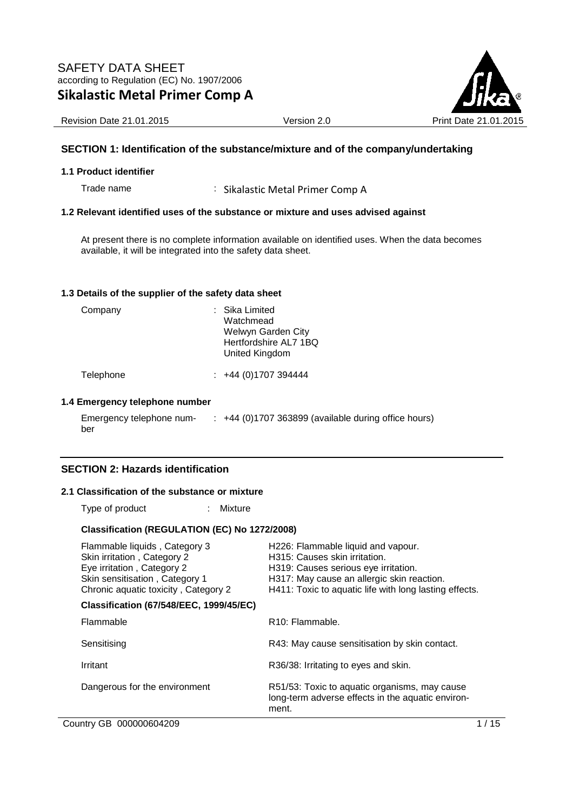

Revision Date 21.01.2015 **Version 2.0** Version 2.0 Print Date 21.01

### **SECTION 1: Identification of the substance/mixture and of the company/undertaking**

#### **1.1 Product identifier**

Trade name : Sikalastic Metal Primer Comp A

### **1.2 Relevant identified uses of the substance or mixture and uses advised against**

At present there is no complete information available on identified uses. When the data becomes available, it will be integrated into the safety data sheet.

#### **1.3 Details of the supplier of the safety data sheet**

| Company | : Sika Limited<br>Watchmead<br>Welwyn Garden City<br>Hertfordshire AL7 1BQ<br>United Kingdom |
|---------|----------------------------------------------------------------------------------------------|
|         |                                                                                              |

Telephone : +44 (0)1707 394444

### **1.4 Emergency telephone number**

Emergency telephone number : +44 (0)1707 363899 (available during office hours)

### **SECTION 2: Hazards identification**

### **2.1 Classification of the substance or mixture**

Type of product : Mixture

#### **Classification (REGULATION (EC) No 1272/2008)**

| Flammable liquids, Category 3<br>Skin irritation, Category 2<br>Eye irritation, Category 2<br>Skin sensitisation, Category 1<br>Chronic aquatic toxicity, Category 2 | H226: Flammable liquid and vapour.<br>H315: Causes skin irritation.<br>H319: Causes serious eye irritation.<br>H317: May cause an allergic skin reaction.<br>H411: Toxic to aquatic life with long lasting effects. |
|----------------------------------------------------------------------------------------------------------------------------------------------------------------------|---------------------------------------------------------------------------------------------------------------------------------------------------------------------------------------------------------------------|
| <b>Classification (67/548/EEC, 1999/45/EC)</b>                                                                                                                       |                                                                                                                                                                                                                     |
| Flammable                                                                                                                                                            | R <sub>10</sub> : Flammable.                                                                                                                                                                                        |
| Sensitising                                                                                                                                                          | R43: May cause sensitisation by skin contact.                                                                                                                                                                       |
| Irritant                                                                                                                                                             | R36/38: Irritating to eyes and skin.                                                                                                                                                                                |
| Dangerous for the environment                                                                                                                                        | R51/53: Toxic to aquatic organisms, may cause<br>long-term adverse effects in the aquatic environ-<br>ment.                                                                                                         |

Country GB 000000604209 1/15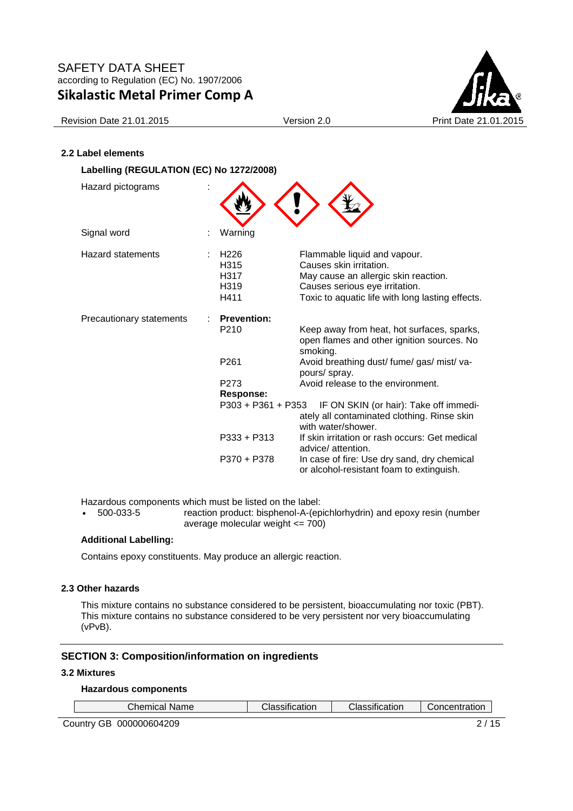

Revision Date 21.01.2015 Version 2.0 Version 2.0 Print Date 21.01

### **2.2 Label elements**

| Labelling (REGULATION (EC) No 1272/2008) |                                                  |                                                                                                                                                                                       |
|------------------------------------------|--------------------------------------------------|---------------------------------------------------------------------------------------------------------------------------------------------------------------------------------------|
| Hazard pictograms                        |                                                  |                                                                                                                                                                                       |
| Signal word                              | Warning                                          |                                                                                                                                                                                       |
| <b>Hazard statements</b>                 | H <sub>226</sub><br>H315<br>H317<br>H319<br>H411 | Flammable liquid and vapour.<br>Causes skin irritation.<br>May cause an allergic skin reaction.<br>Causes serious eye irritation.<br>Toxic to aquatic life with long lasting effects. |
| Precautionary statements                 | <b>Prevention:</b>                               |                                                                                                                                                                                       |
|                                          | P <sub>210</sub>                                 | Keep away from heat, hot surfaces, sparks,<br>open flames and other ignition sources. No<br>smoking.                                                                                  |
|                                          | P <sub>261</sub>                                 | Avoid breathing dust/ fume/ gas/ mist/ va-<br>pours/ spray.                                                                                                                           |
|                                          | P273                                             | Avoid release to the environment.                                                                                                                                                     |
|                                          | <b>Response:</b>                                 |                                                                                                                                                                                       |
|                                          | P303 + P361 + P353                               | IF ON SKIN (or hair): Take off immedi-<br>ately all contaminated clothing. Rinse skin<br>with water/shower.                                                                           |
|                                          | P333 + P313                                      | If skin irritation or rash occurs: Get medical<br>advice/attention.                                                                                                                   |
|                                          | P370 + P378                                      | In case of fire: Use dry sand, dry chemical<br>or alcohol-resistant foam to extinguish.                                                                                               |

Hazardous components which must be listed on the label:

• 500-033-5 reaction product: bisphenol-A-(epichlorhydrin) and epoxy resin (number average molecular weight <= 700)

### **Additional Labelling:**

Contains epoxy constituents. May produce an allergic reaction.

### **2.3 Other hazards**

This mixture contains no substance considered to be persistent, bioaccumulating nor toxic (PBT). This mixture contains no substance considered to be very persistent nor very bioaccumulating (vPvB).

### **SECTION 3: Composition/information on ingredients**

#### **3.2 Mixtures**

Г

# **Hazardous components**

| Chemical Name∴ | $\cdots$<br>Classification | Classification | Concentration |
|----------------|----------------------------|----------------|---------------|
|                |                            |                |               |

Country GB 000000604209 2/15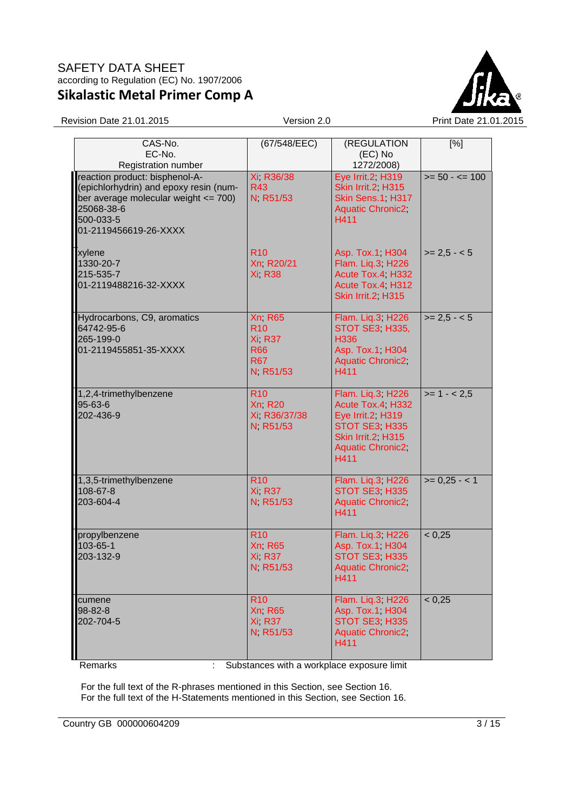

Revision Date 21.01.2015 Version 2.0 Print Date 21.01.2015

| CAS-No.<br>EC-No.<br>Registration number                                                                                                                             | (67/548/EEC)                                                                  | (REGULATION<br>(EC) No<br>1272/2008)                                                                                             | [%]               |
|----------------------------------------------------------------------------------------------------------------------------------------------------------------------|-------------------------------------------------------------------------------|----------------------------------------------------------------------------------------------------------------------------------|-------------------|
| reaction product: bisphenol-A-<br>(epichlorhydrin) and epoxy resin (num-<br>ber average molecular weight <= 700)<br>25068-38-6<br>500-033-5<br>01-2119456619-26-XXXX | Xi, R36/38<br><b>R43</b><br>N, R51/53                                         | Eye Irrit.2, H319<br>Skin Irrit.2, H315<br>Skin Sens.1, H317<br>Aquatic Chronic2,<br>H411                                        | $>= 50 - 5 = 100$ |
| xylene<br>1330-20-7<br>215-535-7<br>01-2119488216-32-XXXX                                                                                                            | <b>R10</b><br>Xn R20/21<br><b>Xi R38</b>                                      | Asp. Tox.1, H304<br>Flam. Liq.3, H226<br>Acute Tox.4, H332<br>Acute Tox.4, H312<br>Skin Irrit.2, H315                            | $>= 2,5 - 5$      |
| Hydrocarbons, C9, aromatics<br>64742-95-6<br>265-199-0<br>01-2119455851-35-XXXX                                                                                      | <b>Xn R65</b><br><b>R10</b><br>Xi R37<br><b>R66</b><br><b>R67</b><br>N R51/53 | Flam. Liq.3, H226<br><b>STOT SE3 H335,</b><br>H336<br>Asp. Tox.1, H304<br><b>Aquatic Chronic2,</b><br>H411                       | $>= 2.5 - 5$      |
| 1,2,4-trimethylbenzene<br>95-63-6<br>202-436-9                                                                                                                       | <b>R10</b><br><b>Xn R20</b><br>Xi, R36/37/38<br>N R51/53                      | Flam. Liq.3, H226<br>Acute Tox.4, H332<br>Eye Irrit.2, H319<br>STOT SE3, H335<br>Skin Irrit.2, H315<br>Aquatic Chronic2;<br>H411 | $>= 1 - 2.5$      |
| 1,3,5-trimethylbenzene<br>108-67-8<br>203-604-4                                                                                                                      | <b>R10</b><br>Xi R37<br>N R51/53                                              | Flam. Liq.3; H226<br>STOT SE3, H335<br>Aquatic Chronic2;<br>H411                                                                 | $>= 0,25 - 1$     |
| propylbenzene<br>103-65-1<br>203-132-9                                                                                                                               | <b>R10</b><br><b>Xn R65</b><br><b>Xi, R37</b><br>N R51/53                     | Flam. Liq.3; H226<br>Asp. Tox.1, H304<br>STOT SE3, H335<br>Aquatic Chronic2;<br>H411                                             | < 0,25            |
| cumene<br>98-82-8<br>202-704-5                                                                                                                                       | <b>R10</b><br><b>Xn R65</b><br>Xi R37<br>N R51/53                             | Flam. Liq.3; H226<br>Asp. Tox.1, H304<br>STOT SE3, H335<br><b>Aquatic Chronic2</b><br>H411                                       | < 0,25            |

Remarks : Substances with a workplace exposure limit

For the full text of the R-phrases mentioned in this Section, see Section 16. For the full text of the H-Statements mentioned in this Section, see Section 16.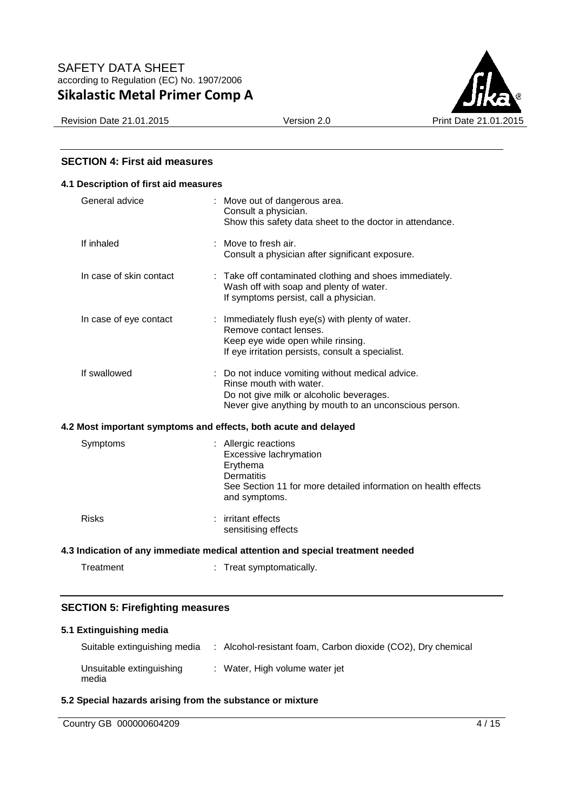

### **SECTION 4: First aid measures**

| 4.1 Description of first aid measures |                                                                                                                                                                                   |
|---------------------------------------|-----------------------------------------------------------------------------------------------------------------------------------------------------------------------------------|
| General advice                        | : Move out of dangerous area.<br>Consult a physician.<br>Show this safety data sheet to the doctor in attendance.                                                                 |
| If inhaled                            | : Move to fresh air.<br>Consult a physician after significant exposure.                                                                                                           |
| In case of skin contact               | : Take off contaminated clothing and shoes immediately.<br>Wash off with soap and plenty of water.<br>If symptoms persist, call a physician.                                      |
| In case of eye contact                | : Immediately flush eye(s) with plenty of water.<br>Remove contact lenses.<br>Keep eye wide open while rinsing.<br>If eye irritation persists, consult a specialist.              |
| If swallowed                          | : Do not induce vomiting without medical advice.<br>Rinse mouth with water.<br>Do not give milk or alcoholic beverages.<br>Never give anything by mouth to an unconscious person. |
|                                       | 4.2 Most important symptoms and effects, both acute and delayed                                                                                                                   |
| Symptoms                              | : Allergic reactions<br>Excessive lachrymation<br>Erythema<br><b>Dermatitis</b><br>See Section 11 for more detailed information on health effects<br>and symptoms.                |
| <b>Risks</b>                          | : irritant effects<br>sensitising effects                                                                                                                                         |
|                                       | 4.3 Indication of any immediate medical attention and special treatment needed                                                                                                    |
| Treatment                             | Treat symptomatically.                                                                                                                                                            |

# **SECTION 5: Firefighting measures**

### **5.1 Extinguishing media**

| Suitable extinguishing media      | : Alcohol-resistant foam, Carbon dioxide (CO2), Dry chemical |
|-----------------------------------|--------------------------------------------------------------|
| Unsuitable extinguishing<br>media | : Water, High volume water jet                               |

### **5.2 Special hazards arising from the substance or mixture**

| Country GB | 000000604209 | <b>16</b> |
|------------|--------------|-----------|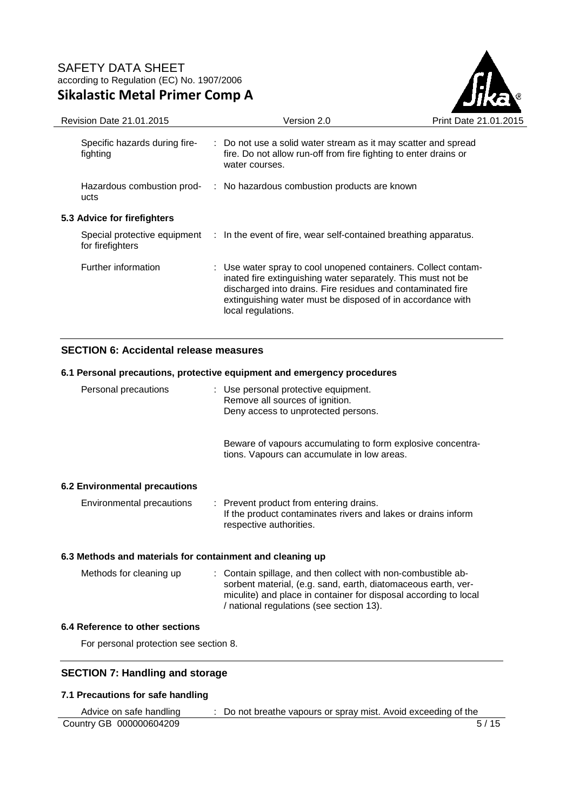

| <b>Revision Date 21.01.2015</b>           | Version 2.0                                                                                                                                                                                                                                                                       | Print Date 21.01 |
|-------------------------------------------|-----------------------------------------------------------------------------------------------------------------------------------------------------------------------------------------------------------------------------------------------------------------------------------|------------------|
| Specific hazards during fire-<br>fighting | : Do not use a solid water stream as it may scatter and spread<br>fire. Do not allow run-off from fire fighting to enter drains or<br>water courses.                                                                                                                              |                  |
| Hazardous combustion prod-<br>ucts        | : No hazardous combustion products are known                                                                                                                                                                                                                                      |                  |
| 5.3 Advice for firefighters               |                                                                                                                                                                                                                                                                                   |                  |
| for firefighters                          | Special protective equipment : In the event of fire, wear self-contained breathing apparatus.                                                                                                                                                                                     |                  |
| Further information                       | : Use water spray to cool unopened containers. Collect contam-<br>inated fire extinguishing water separately. This must not be<br>discharged into drains. Fire residues and contaminated fire<br>extinguishing water must be disposed of in accordance with<br>local regulations. |                  |

### **SECTION 6: Accidental release measures**

# **6.1 Personal precautions, protective equipment and emergency procedures**

| Personal precautions                                      |  | : Use personal protective equipment.<br>Remove all sources of ignition.<br>Deny access to unprotected persons.                      |
|-----------------------------------------------------------|--|-------------------------------------------------------------------------------------------------------------------------------------|
|                                                           |  | Beware of vapours accumulating to form explosive concentra-<br>tions. Vapours can accumulate in low areas.                          |
| 6.2 Environmental precautions                             |  |                                                                                                                                     |
| Environmental precautions                                 |  | : Prevent product from entering drains.<br>If the product contaminates rivers and lakes or drains inform<br>respective authorities. |
| 6.3 Methods and materials for containment and cleaning up |  |                                                                                                                                     |

| Methods for cleaning up | : Contain spillage, and then collect with non-combustible ab-<br>sorbent material, (e.g. sand, earth, diatomaceous earth, ver-<br>miculite) and place in container for disposal according to local<br>/ national regulations (see section 13). |
|-------------------------|------------------------------------------------------------------------------------------------------------------------------------------------------------------------------------------------------------------------------------------------|
|                         |                                                                                                                                                                                                                                                |

### **6.4 Reference to other sections**

For personal protection see section 8.

# **SECTION 7: Handling and storage**

### **7.1 Precautions for safe handling**

| Advice on safe handling | Do not breathe vapours or spray mist. Avoid exceeding of the |
|-------------------------|--------------------------------------------------------------|
| Country GB 000000604209 | 5/15                                                         |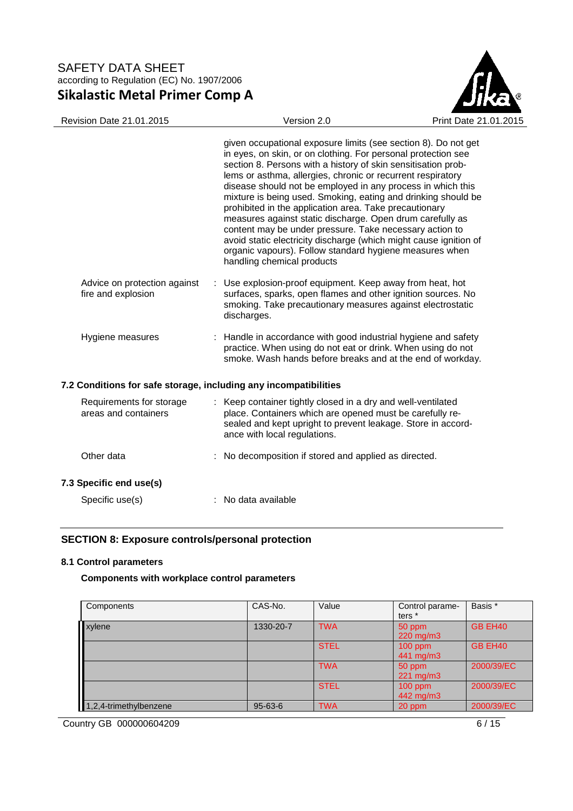

|                                                                  | given occupational exposure limits (see section 8). Do not get<br>in eyes, on skin, or on clothing. For personal protection see<br>section 8. Persons with a history of skin sensitisation prob-<br>lems or asthma, allergies, chronic or recurrent respiratory<br>disease should not be employed in any process in which this<br>mixture is being used. Smoking, eating and drinking should be<br>prohibited in the application area. Take precautionary<br>measures against static discharge. Open drum carefully as<br>content may be under pressure. Take necessary action to<br>avoid static electricity discharge (which might cause ignition of<br>organic vapours). Follow standard hygiene measures when<br>handling chemical products |
|------------------------------------------------------------------|-------------------------------------------------------------------------------------------------------------------------------------------------------------------------------------------------------------------------------------------------------------------------------------------------------------------------------------------------------------------------------------------------------------------------------------------------------------------------------------------------------------------------------------------------------------------------------------------------------------------------------------------------------------------------------------------------------------------------------------------------|
| Advice on protection against<br>fire and explosion               | : Use explosion-proof equipment. Keep away from heat, hot<br>surfaces, sparks, open flames and other ignition sources. No<br>smoking. Take precautionary measures against electrostatic<br>discharges.                                                                                                                                                                                                                                                                                                                                                                                                                                                                                                                                          |
| Hygiene measures                                                 | : Handle in accordance with good industrial hygiene and safety<br>practice. When using do not eat or drink. When using do not<br>smoke. Wash hands before breaks and at the end of workday.                                                                                                                                                                                                                                                                                                                                                                                                                                                                                                                                                     |
| 7.2 Conditions for safe storage, including any incompatibilities |                                                                                                                                                                                                                                                                                                                                                                                                                                                                                                                                                                                                                                                                                                                                                 |
| Requirements for storage<br>areas and containers                 | : Keep container tightly closed in a dry and well-ventilated<br>place. Containers which are opened must be carefully re-<br>sealed and kept upright to prevent leakage. Store in accord-<br>ance with local regulations.                                                                                                                                                                                                                                                                                                                                                                                                                                                                                                                        |
| Other data                                                       | : No decomposition if stored and applied as directed.                                                                                                                                                                                                                                                                                                                                                                                                                                                                                                                                                                                                                                                                                           |
| 7.3 Specific end use(s)                                          |                                                                                                                                                                                                                                                                                                                                                                                                                                                                                                                                                                                                                                                                                                                                                 |
| Specific use(s)                                                  | : No data available                                                                                                                                                                                                                                                                                                                                                                                                                                                                                                                                                                                                                                                                                                                             |

# **SECTION 8: Exposure controls/personal protection**

### **8.1 Control parameters**

### **Components with workplace control parameters**

| Components             | CAS-No.       | Value       | Control parame-<br>ters <sup>*</sup> | Basis *        |
|------------------------|---------------|-------------|--------------------------------------|----------------|
| xylene                 | 1330-20-7     | <b>TWA</b>  | 50 ppm<br>220 mg/m3                  | GB EH40        |
|                        |               | <b>STEL</b> | $100$ ppm<br>441 mg/m3               | <b>GB EH40</b> |
|                        |               | <b>TWA</b>  | 50 ppm<br>$221 \text{ mg/m}$         | 2000/39/EC     |
|                        |               | <b>STEL</b> | $100$ ppm<br>442 mg/m3               | 2000/39/EC     |
| 1,2,4-trimethylbenzene | $95 - 63 - 6$ | <b>TWA</b>  | 20 ppm                               | 2000/39/EC     |

Country GB 000000604209 6/15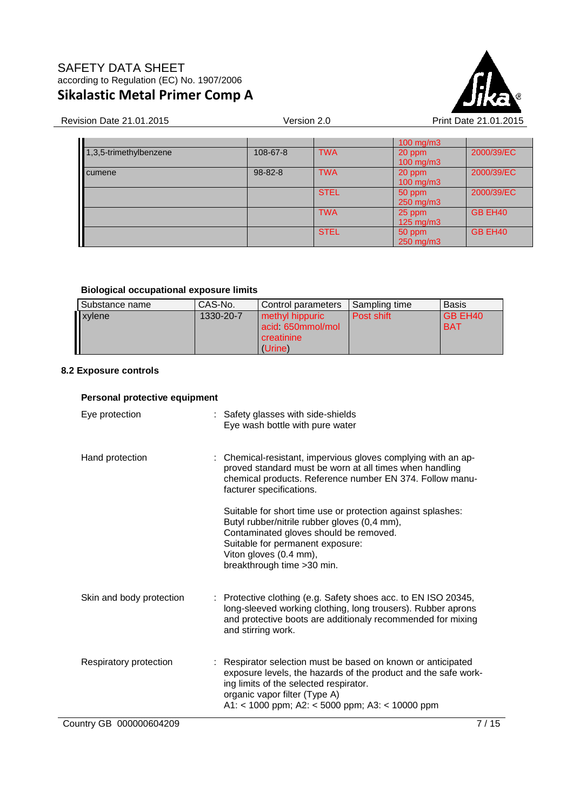

### Revision Date 21.01.2015 **Version 2.0** Version 2.0 Print Date 21.01

| Τ                         |               |             | $100$ mg/m $3$       |            |
|---------------------------|---------------|-------------|----------------------|------------|
| $1,3,5$ -trimethylbenzene | 108-67-8      | <b>TWA</b>  | 20 ppm               | 2000/39/EC |
|                           |               |             | $100 \text{ mg/m}$ 3 |            |
| cumene                    | $98 - 82 - 8$ | <b>TWA</b>  | 20 ppm               | 2000/39/EC |
|                           |               |             | 100 mg/m3            |            |
|                           |               | <b>STEL</b> | 50 ppm               | 2000/39/EC |
|                           |               |             | 250 mg/m3            |            |
|                           |               | <b>TWA</b>  | 25 ppm               | GB EH40    |
|                           |               |             | $125 \text{ mg/m}$   |            |
|                           |               | <b>STEL</b> | 50 ppm               | GB EH40    |
|                           |               |             | 250 mg/m3            |            |

### **Biological occupational exposure limits**

| Substance name | CAS-No.   | Control parameters                                           | Sampling time | <b>Basis</b>          |
|----------------|-----------|--------------------------------------------------------------|---------------|-----------------------|
| xylene         | 1330-20-7 | methyl hippuric<br>acid 650mmol/mol<br>creatinine<br>(Urine) | Post shift    | GB EH40<br><b>BAT</b> |

### **8.2 Exposure controls**

# **Personal protective equipment**  Eye protection : Safety glasses with side-shields Eye wash bottle with pure water Hand protection : Chemical-resistant, impervious gloves complying with an approved standard must be worn at all times when handling chemical products. Reference number EN 374. Follow manufacturer specifications. Suitable for short time use or protection against splashes: Butyl rubber/nitrile rubber gloves (0,4 mm), Contaminated gloves should be removed. Suitable for permanent exposure: Viton gloves (0.4 mm), breakthrough time >30 min. Skin and body protection : Protective clothing (e.g. Safety shoes acc. to EN ISO 20345, long-sleeved working clothing, long trousers). Rubber aprons and protective boots are additionaly recommended for mixing and stirring work. Respiratory protection : Respirator selection must be based on known or anticipated exposure levels, the hazards of the product and the safe working limits of the selected respirator. organic vapor filter (Type A) A1: < 1000 ppm; A2: < 5000 ppm; A3: < 10000 ppm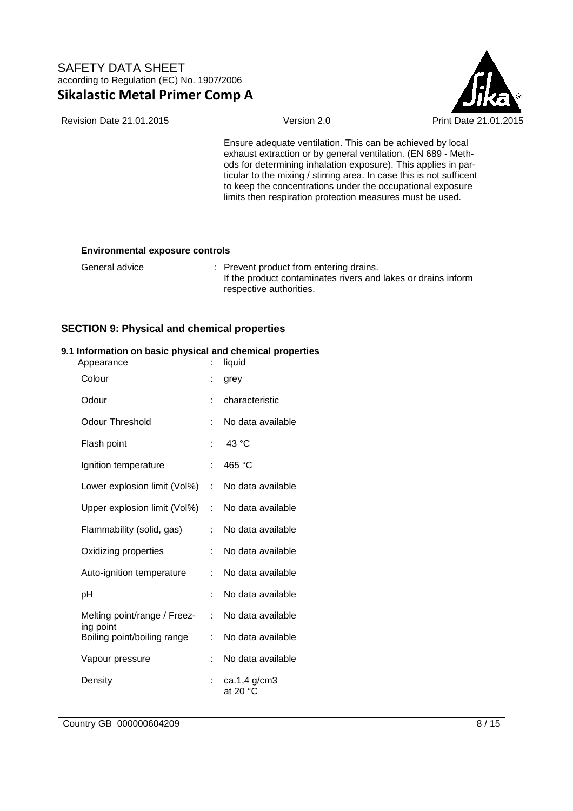

Revision Date 21.01.2015 Version 2.0 Print Date 21.01.2015

Ensure adequate ventilation. This can be achieved by local exhaust extraction or by general ventilation. (EN 689 - Methods for determining inhalation exposure). This applies in particular to the mixing / stirring area. In case this is not sufficent to keep the concentrations under the occupational exposure limits then respiration protection measures must be used.

#### **Environmental exposure controls**

General advice : Prevent product from entering drains. If the product contaminates rivers and lakes or drains inform respective authorities.

### **SECTION 9: Physical and chemical properties**

#### **9.1 Information on basic physical and chemical properties**

| Appearance                               | t.                        | liquid                            |
|------------------------------------------|---------------------------|-----------------------------------|
| Colour                                   |                           | grey                              |
| Odour                                    |                           | characteristic                    |
| <b>Odour Threshold</b>                   | t.                        | No data available                 |
| Flash point                              | t                         | 43 °C                             |
| Ignition temperature                     | t                         | 465 °C                            |
| Lower explosion limit (Vol%)             | $\mathbb{R}^{\mathbb{Z}}$ | No data available                 |
| Upper explosion limit (Vol%)             | ÷                         | No data available                 |
| Flammability (solid, gas)                | ÷                         | No data available                 |
| Oxidizing properties                     | t                         | No data available                 |
| Auto-ignition temperature                | t.                        | No data available                 |
| рH                                       | t.                        | No data available                 |
| Melting point/range / Freez-             | t.                        | No data available                 |
| ing point<br>Boiling point/boiling range | ÷.                        | No data available                 |
| Vapour pressure                          |                           | No data available                 |
| Density                                  |                           | ca.1,4 g/cm3<br>at 20 $\degree$ C |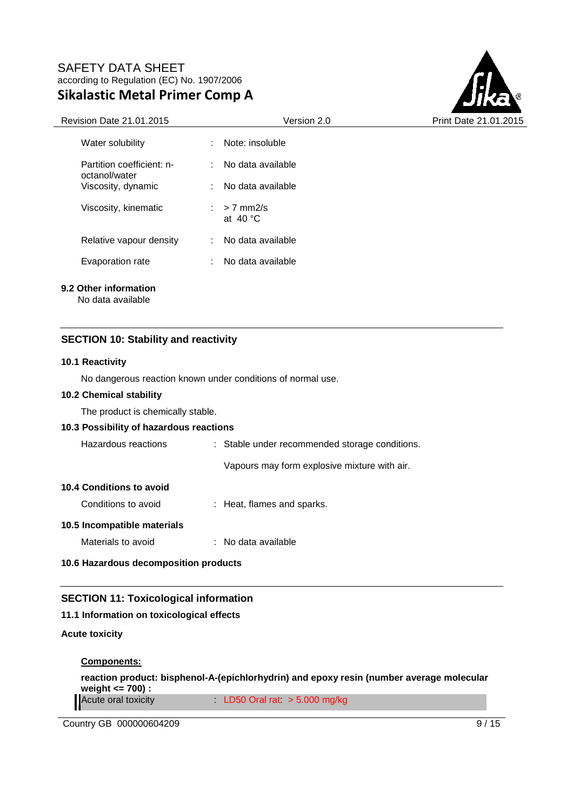

| <b>Revision Date 21.01.2015</b>            | Version 2.0                               | Print Date 21.01.2015 |  |
|--------------------------------------------|-------------------------------------------|-----------------------|--|
| Water solubility                           | Note: insoluble<br>÷.                     |                       |  |
| Partition coefficient: n-<br>octanol/water | No data available<br>÷.                   |                       |  |
| Viscosity, dynamic                         | : No data available                       |                       |  |
| Viscosity, kinematic                       | $> 7$ mm $2/s$<br>÷.<br>at $40^{\circ}$ C |                       |  |
| Relative vapour density                    | No data available<br>÷.                   |                       |  |
| Evaporation rate                           | No data available                         |                       |  |
| 9.2 Other information<br>No data available |                                           |                       |  |

### **SECTION 10: Stability and reactivity**

#### **10.1 Reactivity**

No dangerous reaction known under conditions of normal use.

### **10.2 Chemical stability**

The product is chemically stable.

### **10.3 Possibility of hazardous reactions**

| Hazardous reactions                   |  | : Stable under recommended storage conditions. |  |  |
|---------------------------------------|--|------------------------------------------------|--|--|
|                                       |  | Vapours may form explosive mixture with air.   |  |  |
| 10.4 Conditions to avoid              |  |                                                |  |  |
| Conditions to avoid                   |  | : Heat, flames and sparks.                     |  |  |
| 10.5 Incompatible materials           |  |                                                |  |  |
| Materials to avoid                    |  | $:$ No data available                          |  |  |
| 10.6 Hazardous decomposition products |  |                                                |  |  |

### **SECTION 11: Toxicological information**

#### **11.1 Information on toxicological effects**

### **Acute toxicity**

#### **Components:**

**reaction product: bisphenol-A-(epichlorhydrin) and epoxy resin (number average molecular weight <= 700) :**  Acute oral toxicity : LD50 Oral rat: > 5.000 mg/kg

Country GB 000000604209 9/15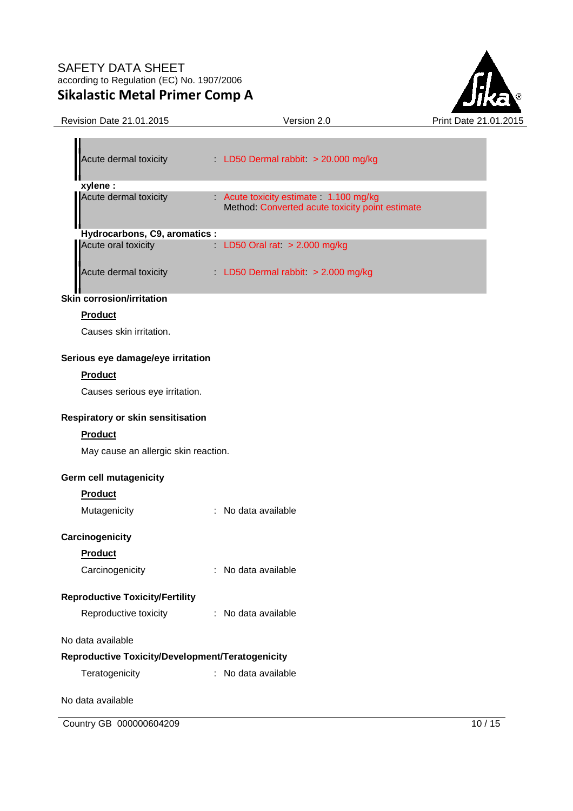

| Revision Date 21.01.2015 | Version 2.0 |
|--------------------------|-------------|
|                          |             |

| LD50 Dermal rabbit $>$ 20.000 mg/kg                                                    |
|----------------------------------------------------------------------------------------|
|                                                                                        |
| Acute toxicity estimate 1.100 mg/kg<br>Method: Converted acute toxicity point estimate |
| Hydrocarbons, C9, aromatics :                                                          |
| LD50 Oral rat $> 2.000$ mg/kg                                                          |
| LD50 Dermal rabbit $> 2.000$ mg/kg                                                     |
|                                                                                        |

### **Skin corrosion/irritation**

## **Product**

Causes skin irritation.

### **Serious eye damage/eye irritation**

### **Product**

Causes serious eye irritation.

### **Respiratory or skin sensitisation**

### **Product**

May cause an allergic skin reaction.

### **Germ cell mutagenicity**

# **Product**

| Mutagenicity | No data available |
|--------------|-------------------|
|              |                   |

# **Carcinogenicity**

### **Product**

| Carcinogenicity | No data available |
|-----------------|-------------------|
|                 |                   |

# **Reproductive Toxicity/Fertility**

| Reproductive toxicity | No data available |
|-----------------------|-------------------|
|                       |                   |

### No data available

### **Reproductive Toxicity/Development/Teratogenicity**

| Teratogenicity | No data available |
|----------------|-------------------|
|----------------|-------------------|

No data available

Country GB 000000604209 10 / 15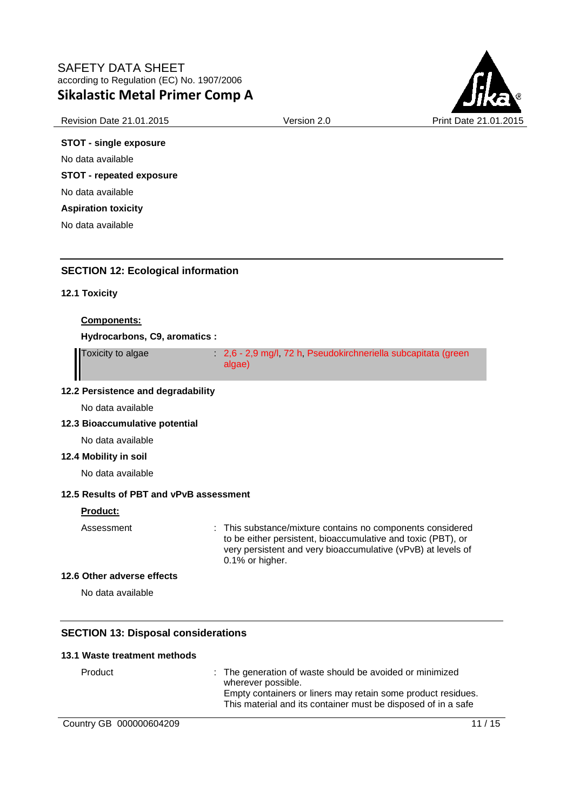

### Revision Date 21.01.2015 **Version 2.0** Version 2.0 Print Date 21

# **STOT - single exposure**

No data available

**STOT - repeated exposure** 

No data available

**Aspiration toxicity** 

No data available

# **SECTION 12: Ecological information**

### **12.1 Toxicity**

### **Components:**

**Hydrocarbons, C9, aromatics :** 

Toxicity to algae : 2,6 - 2,9 mg/l, 72 h, Pseudokirchneriella subcapitata (green algae)

### **12.2 Persistence and degradability**

No data available

### **12.3 Bioaccumulative potential**

No data available

### **12.4 Mobility in soil**

No data available

# **12.5 Results of PBT and vPvB assessment**

### **Product:**

Assessment : This substance/mixture contains no components considered to be either persistent, bioaccumulative and toxic (PBT), or very persistent and very bioaccumulative (vPvB) at levels of 0.1% or higher.

#### **12.6 Other adverse effects**

No data available

# **SECTION 13: Disposal considerations**

#### **13.1 Waste treatment methods**

Product : The generation of waste should be avoided or minimized wherever possible. Empty containers or liners may retain some product residues. This material and its container must be disposed of in a safe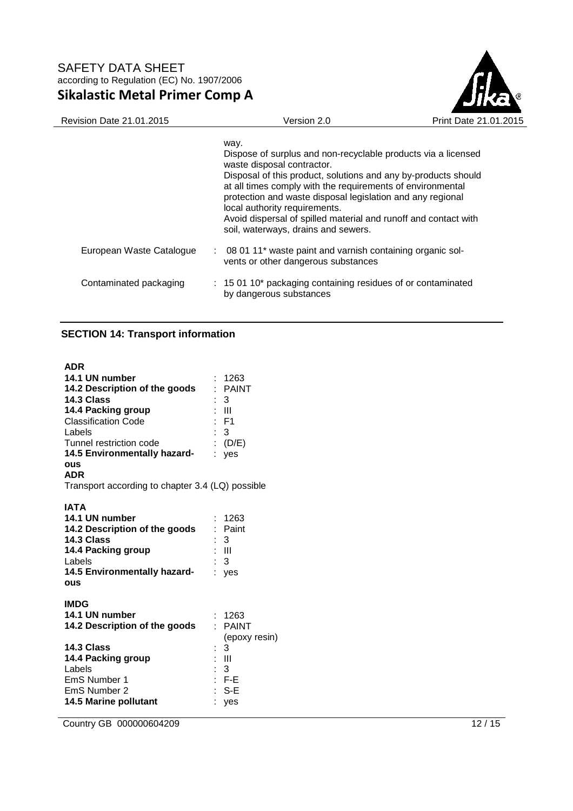

| <b>Revision Date 21.01.2015</b> | Version 2.0                                                                                                                                                                                                                                                                                                                                                                                                                                  | Print Date 21.01.2015 |
|---------------------------------|----------------------------------------------------------------------------------------------------------------------------------------------------------------------------------------------------------------------------------------------------------------------------------------------------------------------------------------------------------------------------------------------------------------------------------------------|-----------------------|
|                                 | way.<br>Dispose of surplus and non-recyclable products via a licensed<br>waste disposal contractor.<br>Disposal of this product, solutions and any by-products should<br>at all times comply with the requirements of environmental<br>protection and waste disposal legislation and any regional<br>local authority requirements.<br>Avoid dispersal of spilled material and runoff and contact with<br>soil, waterways, drains and sewers. |                       |
| European Waste Catalogue        | : 08 01 11* waste paint and varnish containing organic sol-<br>vents or other dangerous substances                                                                                                                                                                                                                                                                                                                                           |                       |
| Contaminated packaging          | $\therefore$ 15 01 10* packaging containing residues of or contaminated<br>by dangerous substances                                                                                                                                                                                                                                                                                                                                           |                       |

# **SECTION 14: Transport information**

| <b>ADR</b>                                       |                    |
|--------------------------------------------------|--------------------|
| 14.1 UN number                                   | : 1263             |
| 14.2 Description of the goods                    | : PAINT            |
| 14.3 Class                                       | - 3                |
| 14.4 Packing group                               | $: \mathbb{H}$     |
| <b>Classification Code</b>                       | $:$ F1             |
| Labels                                           | $\mathbf{3}$       |
| Tunnel restriction code                          | : $(D/E)$          |
| 14.5 Environmentally hazard-                     | : yes              |
| ous                                              |                    |
| <b>ADR</b>                                       |                    |
| Transport according to chapter 3.4 (LQ) possible |                    |
|                                                  |                    |
| <b>IATA</b>                                      |                    |
| 14.1 UN number                                   | : 1263             |
| 14.2 Description of the goods                    | : Paint            |
| 14.3 Class                                       | 3                  |
| 14.4 Packing group                               | : III              |
| Labels                                           | : 3                |
| 14.5 Environmentally hazard-                     | : yes              |
| ous                                              |                    |
| <b>IMDG</b>                                      |                    |
| 14.1 UN number                                   | : 1263             |
| 14.2 Description of the goods                    | ×.<br><b>PAINT</b> |
|                                                  |                    |
| 14.3 Class                                       | (epoxy resin)<br>3 |
| 14.4 Packing group                               | $: \mathbb{H}$     |
| Labels                                           | 3                  |
| EmS Number 1                                     | - F-E              |
| EmS Number 2                                     | : S-E              |
| <b>14.5 Marine pollutant</b>                     |                    |
|                                                  | yes                |

**Country GB 000000604209** 12 / 15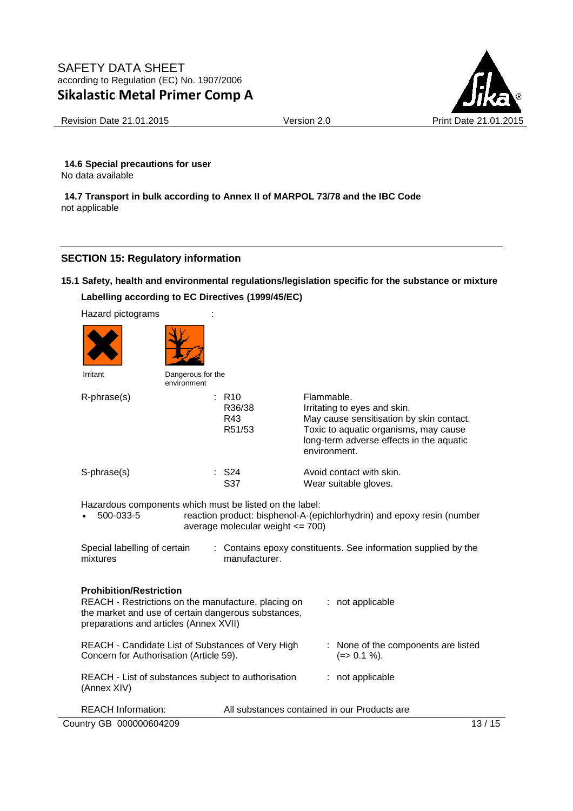

Revision Date 21.01.2015 Version 2.0 Print Date 21.01.2015

**14.6 Special precautions for user** No data available

**14.7 Transport in bulk according to Annex II of MARPOL 73/78 and the IBC Code** not applicable

# **SECTION 15: Regulatory information**

### **15.1 Safety, health and environmental regulations/legislation specific for the substance or mixture**

### **Labelling according to EC Directives (1999/45/EC)**

| Labelling according to EC Directives (1999/45/EC)                                                                                                                                      |                                  |                                                |                                                                                                                                                                                             |
|----------------------------------------------------------------------------------------------------------------------------------------------------------------------------------------|----------------------------------|------------------------------------------------|---------------------------------------------------------------------------------------------------------------------------------------------------------------------------------------------|
| Hazard pictograms                                                                                                                                                                      |                                  |                                                |                                                                                                                                                                                             |
|                                                                                                                                                                                        |                                  |                                                |                                                                                                                                                                                             |
| Irritant                                                                                                                                                                               | Dangerous for the<br>environment |                                                |                                                                                                                                                                                             |
| R-phrase(s)                                                                                                                                                                            |                                  | $:$ R <sub>10</sub><br>R36/38<br>R43<br>R51/53 | Flammable.<br>Irritating to eyes and skin.<br>May cause sensitisation by skin contact.<br>Toxic to aquatic organisms, may cause<br>long-term adverse effects in the aquatic<br>environment. |
| S-phrase(s)                                                                                                                                                                            |                                  | $\therefore$ S24<br>S37                        | Avoid contact with skin.<br>Wear suitable gloves.                                                                                                                                           |
| Hazardous components which must be listed on the label:<br>500-033-5<br>reaction product: bisphenol-A-(epichlorhydrin) and epoxy resin (number<br>average molecular weight $\leq$ 700) |                                  |                                                |                                                                                                                                                                                             |
| Special labelling of certain<br>: Contains epoxy constituents. See information supplied by the<br>manufacturer.<br>mixtures                                                            |                                  |                                                |                                                                                                                                                                                             |

### **Prohibition/Restriction**

| REACH - Restrictions on the manufacture, placing on<br>the market and use of certain dangerous substances,<br>preparations and articles (Annex XVII) |                                              |  | : not applicable                                     |
|------------------------------------------------------------------------------------------------------------------------------------------------------|----------------------------------------------|--|------------------------------------------------------|
| REACH - Candidate List of Substances of Very High<br>Concern for Authorisation (Article 59).                                                         |                                              |  | : None of the components are listed<br>$(=>0.1\%)$ . |
| REACH - List of substances subject to authorisation<br>(Annex XIV)                                                                                   |                                              |  | : not applicable                                     |
| <b>REACH Information:</b>                                                                                                                            | All substances contained in our Products are |  |                                                      |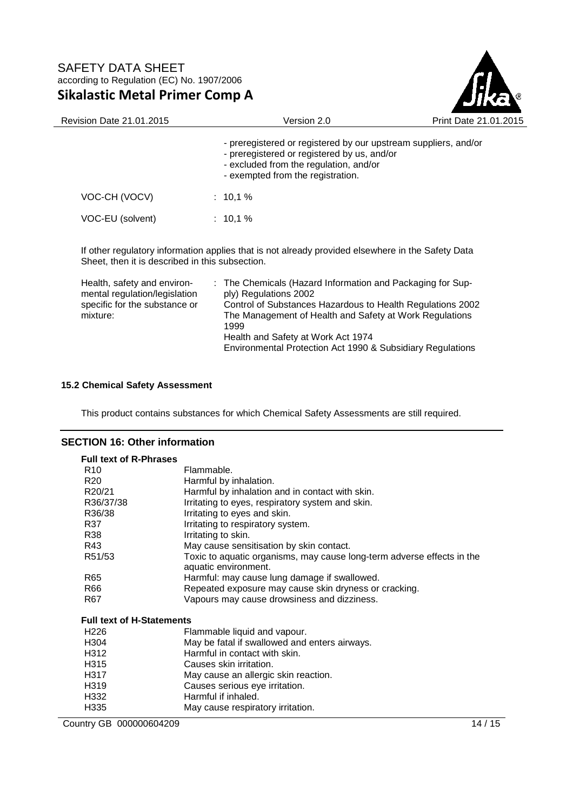

| <b>Revision Date 21.01.2015</b> | Version 2.0                                                                                                                                                                                   | Print Date 21.01.2015 |
|---------------------------------|-----------------------------------------------------------------------------------------------------------------------------------------------------------------------------------------------|-----------------------|
|                                 | - preregistered or registered by our upstream suppliers, and/or<br>- preregistered or registered by us, and/or<br>- excluded from the regulation, and/or<br>- exempted from the registration. |                       |
| VOC-CH (VOCV)                   | $: 10.1 \%$                                                                                                                                                                                   |                       |
| VOC-EU (solvent)                | $: 10.1 \%$                                                                                                                                                                                   |                       |
|                                 |                                                                                                                                                                                               |                       |

If other regulatory information applies that is not already provided elsewhere in the Safety Data Sheet, then it is described in this subsection.

| Health, safety and environ-   | : The Chemicals (Hazard Information and Packaging for Sup- |
|-------------------------------|------------------------------------------------------------|
| mental regulation/legislation | ply) Regulations 2002                                      |
| specific for the substance or | Control of Substances Hazardous to Health Regulations 2002 |
| mixture:                      | The Management of Health and Safety at Work Regulations    |
|                               | 1999                                                       |
|                               | Health and Safety at Work Act 1974                         |
|                               | Environmental Protection Act 1990 & Subsidiary Regulations |

### **15.2 Chemical Safety Assessment**

This product contains substances for which Chemical Safety Assessments are still required.

# **SECTION 16: Other information**

| <b>Full text of R-Phrases</b>    |                                                                                                |         |
|----------------------------------|------------------------------------------------------------------------------------------------|---------|
| R <sub>10</sub>                  | Flammable.                                                                                     |         |
| R <sub>20</sub>                  | Harmful by inhalation.                                                                         |         |
| R <sub>20</sub> /21              | Harmful by inhalation and in contact with skin.                                                |         |
| R36/37/38                        | Irritating to eyes, respiratory system and skin.                                               |         |
| R36/38                           | Irritating to eyes and skin.                                                                   |         |
| R37                              | Irritating to respiratory system.                                                              |         |
| R38                              | Irritating to skin.                                                                            |         |
| R43                              | May cause sensitisation by skin contact.                                                       |         |
| R51/53                           | Toxic to aquatic organisms, may cause long-term adverse effects in the<br>aquatic environment. |         |
| R65                              | Harmful: may cause lung damage if swallowed.                                                   |         |
| R66                              | Repeated exposure may cause skin dryness or cracking.                                          |         |
| R67                              | Vapours may cause drowsiness and dizziness.                                                    |         |
| <b>Full text of H-Statements</b> |                                                                                                |         |
| H <sub>226</sub>                 | Flammable liquid and vapour.                                                                   |         |
| H <sub>304</sub>                 | May be fatal if swallowed and enters airways.                                                  |         |
| H312                             | Harmful in contact with skin.                                                                  |         |
| H315                             | Causes skin irritation.                                                                        |         |
| H317                             | May cause an allergic skin reaction.                                                           |         |
| H <sub>319</sub>                 | Causes serious eye irritation.                                                                 |         |
| H332                             | Harmful if inhaled.                                                                            |         |
| H335                             | May cause respiratory irritation.                                                              |         |
| Country GB 000000604209          |                                                                                                | 14 / 15 |